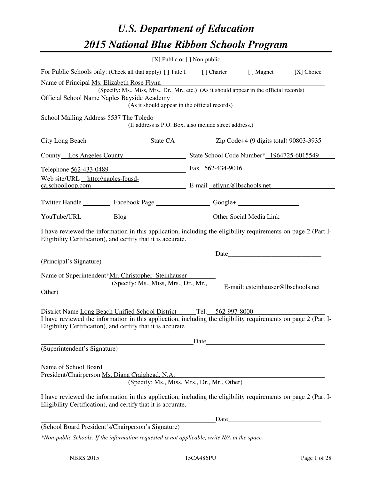# *U.S. Department of Education 2015 National Blue Ribbon Schools Program*

|                                                                                                                                                                                                                                | [X] Public or $[$ ] Non-public                         |  |  |                                                                                                                                                                                                                               |              |  |
|--------------------------------------------------------------------------------------------------------------------------------------------------------------------------------------------------------------------------------|--------------------------------------------------------|--|--|-------------------------------------------------------------------------------------------------------------------------------------------------------------------------------------------------------------------------------|--------------|--|
| For Public Schools only: (Check all that apply) [] Title I [] Charter                                                                                                                                                          |                                                        |  |  | [ ] Magnet                                                                                                                                                                                                                    | $[X]$ Choice |  |
| Name of Principal Ms. Elizabeth Rose Flynn<br>(Specify: Ms., Miss, Mrs., Dr., Mr., etc.) (As it should appear in the official records)                                                                                         |                                                        |  |  |                                                                                                                                                                                                                               |              |  |
| Official School Name Naples Bayside Academy                                                                                                                                                                                    |                                                        |  |  |                                                                                                                                                                                                                               |              |  |
| (As it should appear in the official records)                                                                                                                                                                                  |                                                        |  |  |                                                                                                                                                                                                                               |              |  |
| School Mailing Address 5537 The Toledo                                                                                                                                                                                         |                                                        |  |  |                                                                                                                                                                                                                               |              |  |
|                                                                                                                                                                                                                                | (If address is P.O. Box, also include street address.) |  |  |                                                                                                                                                                                                                               |              |  |
| City Long Beach State CA State CA State CA State CA State CA State CA State CA State CA State CA State CA State CA State CA State CA State CA State CA State CA State CA State CA State CA State CA State CA State CA State CA |                                                        |  |  |                                                                                                                                                                                                                               |              |  |
| County Los Angeles County State School Code Number* 1964725-6015549                                                                                                                                                            |                                                        |  |  |                                                                                                                                                                                                                               |              |  |
| Telephone 562-433-0489 Fax 562-434-9016                                                                                                                                                                                        |                                                        |  |  |                                                                                                                                                                                                                               |              |  |
| Web site/URL http://naples-lbusd-<br>ca.schoolloop.com E-mail eflynn@lbschools.net                                                                                                                                             |                                                        |  |  |                                                                                                                                                                                                                               |              |  |
| Twitter Handle ___________ Facebook Page ____________________ Google+ ___________                                                                                                                                              |                                                        |  |  |                                                                                                                                                                                                                               |              |  |
| YouTube/URL Blog Blog Discount Cher Social Media Link                                                                                                                                                                          |                                                        |  |  |                                                                                                                                                                                                                               |              |  |
| I have reviewed the information in this application, including the eligibility requirements on page 2 (Part I-<br>Eligibility Certification), and certify that it is accurate.                                                 |                                                        |  |  |                                                                                                                                                                                                                               |              |  |
|                                                                                                                                                                                                                                |                                                        |  |  | Date experience and the set of the set of the set of the set of the set of the set of the set of the set of the set of the set of the set of the set of the set of the set of the set of the set of the set of the set of the |              |  |
| (Principal's Signature)                                                                                                                                                                                                        |                                                        |  |  |                                                                                                                                                                                                                               |              |  |
| Name of Superintendent*Mr. Christopher Steinhauser                                                                                                                                                                             |                                                        |  |  |                                                                                                                                                                                                                               |              |  |
|                                                                                                                                                                                                                                | (Specify: Ms., Miss, Mrs., Dr., Mr.,                   |  |  | E-mail: csteinhauser@lbschools.net                                                                                                                                                                                            |              |  |
| Other)                                                                                                                                                                                                                         |                                                        |  |  |                                                                                                                                                                                                                               |              |  |
| District Name Long Beach Unified School District Tel. 562-997-8000                                                                                                                                                             |                                                        |  |  |                                                                                                                                                                                                                               |              |  |
| I have reviewed the information in this application, including the eligibility requirements on page 2 (Part I-<br>Eligibility Certification), and certify that it is accurate.                                                 |                                                        |  |  |                                                                                                                                                                                                                               |              |  |
|                                                                                                                                                                                                                                |                                                        |  |  |                                                                                                                                                                                                                               |              |  |
| (Superintendent's Signature)                                                                                                                                                                                                   |                                                        |  |  |                                                                                                                                                                                                                               |              |  |
| Name of School Board<br>President/Chairperson Ms. Diana Craighead, N.A.                                                                                                                                                        | (Specify: Ms., Miss, Mrs., Dr., Mr., Other)            |  |  |                                                                                                                                                                                                                               |              |  |
| I have reviewed the information in this application, including the eligibility requirements on page 2 (Part I-<br>Eligibility Certification), and certify that it is accurate.                                                 |                                                        |  |  |                                                                                                                                                                                                                               |              |  |
|                                                                                                                                                                                                                                |                                                        |  |  |                                                                                                                                                                                                                               |              |  |
| (School Board President's/Chairperson's Signature)                                                                                                                                                                             |                                                        |  |  |                                                                                                                                                                                                                               |              |  |
| *Non-public Schools: If the information requested is not applicable, write N/A in the space.                                                                                                                                   |                                                        |  |  |                                                                                                                                                                                                                               |              |  |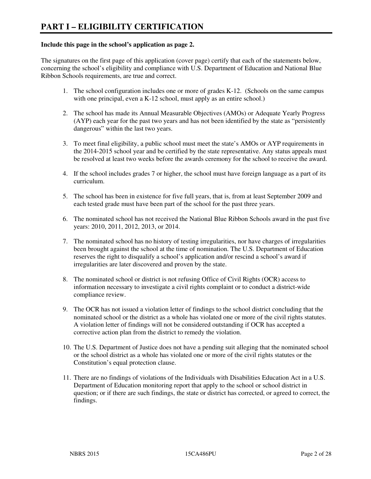#### **Include this page in the school's application as page 2.**

The signatures on the first page of this application (cover page) certify that each of the statements below, concerning the school's eligibility and compliance with U.S. Department of Education and National Blue Ribbon Schools requirements, are true and correct.

- 1. The school configuration includes one or more of grades K-12. (Schools on the same campus with one principal, even a K-12 school, must apply as an entire school.)
- 2. The school has made its Annual Measurable Objectives (AMOs) or Adequate Yearly Progress (AYP) each year for the past two years and has not been identified by the state as "persistently dangerous" within the last two years.
- 3. To meet final eligibility, a public school must meet the state's AMOs or AYP requirements in the 2014-2015 school year and be certified by the state representative. Any status appeals must be resolved at least two weeks before the awards ceremony for the school to receive the award.
- 4. If the school includes grades 7 or higher, the school must have foreign language as a part of its curriculum.
- 5. The school has been in existence for five full years, that is, from at least September 2009 and each tested grade must have been part of the school for the past three years.
- 6. The nominated school has not received the National Blue Ribbon Schools award in the past five years: 2010, 2011, 2012, 2013, or 2014.
- 7. The nominated school has no history of testing irregularities, nor have charges of irregularities been brought against the school at the time of nomination. The U.S. Department of Education reserves the right to disqualify a school's application and/or rescind a school's award if irregularities are later discovered and proven by the state.
- 8. The nominated school or district is not refusing Office of Civil Rights (OCR) access to information necessary to investigate a civil rights complaint or to conduct a district-wide compliance review.
- 9. The OCR has not issued a violation letter of findings to the school district concluding that the nominated school or the district as a whole has violated one or more of the civil rights statutes. A violation letter of findings will not be considered outstanding if OCR has accepted a corrective action plan from the district to remedy the violation.
- 10. The U.S. Department of Justice does not have a pending suit alleging that the nominated school or the school district as a whole has violated one or more of the civil rights statutes or the Constitution's equal protection clause.
- 11. There are no findings of violations of the Individuals with Disabilities Education Act in a U.S. Department of Education monitoring report that apply to the school or school district in question; or if there are such findings, the state or district has corrected, or agreed to correct, the findings.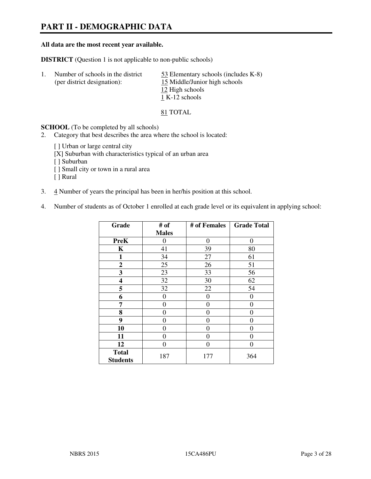# **PART II - DEMOGRAPHIC DATA**

#### **All data are the most recent year available.**

**DISTRICT** (Question 1 is not applicable to non-public schools)

| Number of schools in the district<br>(per district designation): | 53 Elementary schools (includes K-8)<br>15 Middle/Junior high schools |
|------------------------------------------------------------------|-----------------------------------------------------------------------|
|                                                                  | 12 High schools                                                       |
|                                                                  | 1 K-12 schools                                                        |

81 TOTAL

**SCHOOL** (To be completed by all schools)

- 2. Category that best describes the area where the school is located:
	- [ ] Urban or large central city
	- [X] Suburban with characteristics typical of an urban area
	- [ ] Suburban
	- [ ] Small city or town in a rural area
	- [ ] Rural
- 3. 4 Number of years the principal has been in her/his position at this school.
- 4. Number of students as of October 1 enrolled at each grade level or its equivalent in applying school:

| Grade                           | # of         | # of Females     | <b>Grade Total</b> |
|---------------------------------|--------------|------------------|--------------------|
|                                 | <b>Males</b> |                  |                    |
| <b>PreK</b>                     | 0            | $\boldsymbol{0}$ | $\theta$           |
| K                               | 41           | 39               | 80                 |
| 1                               | 34           | 27               | 61                 |
| $\boldsymbol{2}$                | 25           | 26               | 51                 |
| 3                               | 23           | 33               | 56                 |
| 4                               | 32           | 30               | 62                 |
| 5                               | 32           | 22               | 54                 |
| 6                               | 0            | $\theta$         | 0                  |
| 7                               | 0            | 0                | 0                  |
| 8                               | 0            | 0                | 0                  |
| 9                               | 0            | 0                | 0                  |
| 10                              | 0            | 0                | 0                  |
| 11                              | 0            | 0                | 0                  |
| 12                              | 0            | 0                | 0                  |
| <b>Total</b><br><b>Students</b> | 187          | 177              | 364                |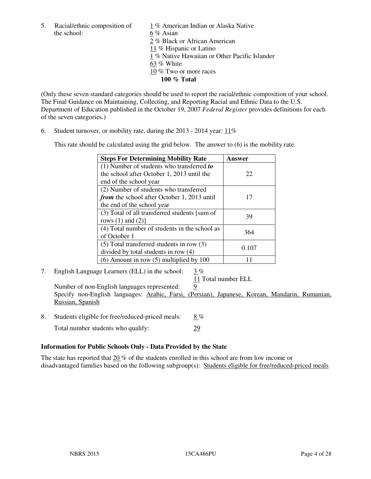the school: 6 % Asian

5. Racial/ethnic composition of 1 % American Indian or Alaska Native 2 % Black or African American 11 % Hispanic or Latino 1 % Native Hawaiian or Other Pacific Islander 63 % White 10 % Two or more races **100 % Total** 

(Only these seven standard categories should be used to report the racial/ethnic composition of your school. The Final Guidance on Maintaining, Collecting, and Reporting Racial and Ethnic Data to the U.S. Department of Education published in the October 19, 2007 *Federal Register* provides definitions for each of the seven categories.)

6. Student turnover, or mobility rate, during the 2013 - 2014 year: 11%

This rate should be calculated using the grid below. The answer to (6) is the mobility rate.

| <b>Steps For Determining Mobility Rate</b>         | Answer |
|----------------------------------------------------|--------|
| $(1)$ Number of students who transferred to        |        |
| the school after October 1, 2013 until the         | 22     |
| end of the school year                             |        |
| (2) Number of students who transferred             |        |
| <i>from</i> the school after October 1, 2013 until | 17     |
| the end of the school year                         |        |
| (3) Total of all transferred students [sum of      | 39     |
| rows $(1)$ and $(2)$ ]                             |        |
| (4) Total number of students in the school as      | 364    |
| of October 1                                       |        |
| $(5)$ Total transferred students in row $(3)$      | 0.107  |
| divided by total students in row (4)               |        |
| $(6)$ Amount in row $(5)$ multiplied by 100        |        |

7. English Language Learners (ELL) in the school: 3 %

11 Total number ELL

Number of non-English languages represented: 9 Specify non-English languages: Arabic, Farsi, (Persian), Japanese, Korean, Mandarin, Rumanian, Russian, Spanish

- 8. Students eligible for free/reduced-priced meals:  $8\%$ 
	- Total number students who qualify: 29

## **Information for Public Schools Only - Data Provided by the State**

The state has reported that  $20\%$  of the students enrolled in this school are from low income or disadvantaged families based on the following subgroup(s): Students eligible for free/reduced-priced meals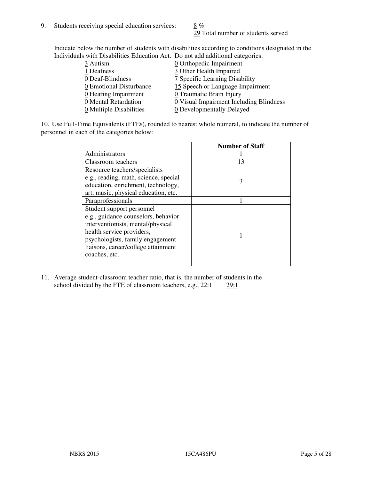29 Total number of students served

Indicate below the number of students with disabilities according to conditions designated in the Individuals with Disabilities Education Act. Do not add additional categories.

| 3 Autism                | $Q$ Orthopedic Impairment               |
|-------------------------|-----------------------------------------|
| 1 Deafness              | 3 Other Health Impaired                 |
| 0 Deaf-Blindness        | 7 Specific Learning Disability          |
| 0 Emotional Disturbance | 15 Speech or Language Impairment        |
| 0 Hearing Impairment    | 0 Traumatic Brain Injury                |
| 0 Mental Retardation    | 0 Visual Impairment Including Blindness |
| 0 Multiple Disabilities | 0 Developmentally Delayed               |
|                         |                                         |

10. Use Full-Time Equivalents (FTEs), rounded to nearest whole numeral, to indicate the number of personnel in each of the categories below:

|                                       | <b>Number of Staff</b> |
|---------------------------------------|------------------------|
| Administrators                        |                        |
| Classroom teachers                    | 13                     |
| Resource teachers/specialists         |                        |
| e.g., reading, math, science, special | 3                      |
| education, enrichment, technology,    |                        |
| art, music, physical education, etc.  |                        |
| Paraprofessionals                     |                        |
| Student support personnel             |                        |
| e.g., guidance counselors, behavior   |                        |
| interventionists, mental/physical     |                        |
| health service providers,             |                        |
| psychologists, family engagement      |                        |
| liaisons, career/college attainment   |                        |
| coaches, etc.                         |                        |
|                                       |                        |

11. Average student-classroom teacher ratio, that is, the number of students in the school divided by the FTE of classroom teachers, e.g.,  $22:1$   $29:1$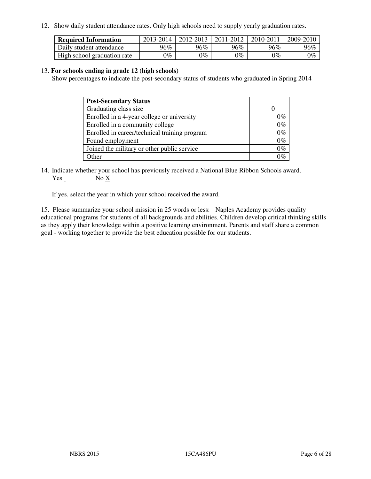12. Show daily student attendance rates. Only high schools need to supply yearly graduation rates.

| <b>Required Information</b> | 2013-2014     | 2012-2013       | 2011-2012 | 2010-2011 | 2009-2010 |
|-----------------------------|---------------|-----------------|-----------|-----------|-----------|
| Daily student attendance    | 96%           | $96\%$          | 96%       | 96%       | 96%       |
| High school graduation rate | $\gamma_{\%}$ | $\mathcal{V}_o$ | $0\%$     | 0%        | 0%        |

#### 13. **For schools ending in grade 12 (high schools)**

Show percentages to indicate the post-secondary status of students who graduated in Spring 2014

| <b>Post-Secondary Status</b>                  |       |
|-----------------------------------------------|-------|
| Graduating class size                         |       |
| Enrolled in a 4-year college or university    | በ‰    |
| Enrolled in a community college               | $0\%$ |
| Enrolled in career/technical training program | $0\%$ |
| Found employment                              | $0\%$ |
| Joined the military or other public service   | $0\%$ |
| Other                                         | ገር/   |

14. Indicate whether your school has previously received a National Blue Ribbon Schools award. Yes No X

If yes, select the year in which your school received the award.

15. Please summarize your school mission in 25 words or less: Naples Academy provides quality educational programs for students of all backgrounds and abilities. Children develop critical thinking skills as they apply their knowledge within a positive learning environment. Parents and staff share a common goal - working together to provide the best education possible for our students.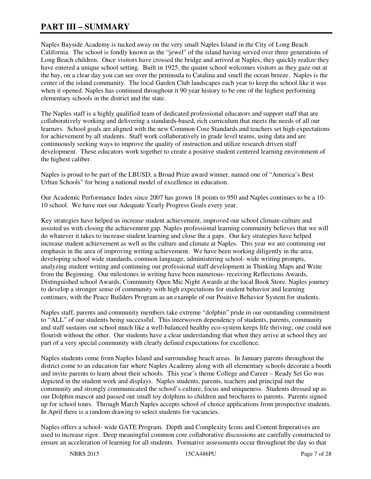# **PART III – SUMMARY**

Naples Bayside Academy is tucked away on the very small Naples Island in the City of Long Beach California. The school is fondly known as the "jewel" of the island having served over three generations of Long Beach children. Once visitors have crossed the bridge and arrived at Naples, they quickly realize they have entered a unique school setting. Built in 1925, the quaint school welcomes visitors as they gaze out at the bay, on a clear day you can see over the peninsula to Catalina and smell the ocean breeze. Naples is the center of the island community. The local Garden Club landscapes each year to keep the school like it was when it opened. Naples has continued throughout it 90 year history to be one of the highest performing elementary schools in the district and the state.

The Naples staff is a highly qualified team of dedicated professional educators and support staff that are collaboratively working and delivering a standards-based, rich curriculum that meets the needs of all our learners. School goals are aligned with the new Common Core Standards and teachers set high expectations for achievement by all students. Staff work collaboratively in grade level teams, using data and are continuously seeking ways to improve the quality of instruction and utilize research driven staff development. These educators work together to create a positive student centered learning environment of the highest caliber.

Naples is proud to be part of the LBUSD, a Broad Prize award winner, named one of "America's Best Urban Schools" for being a national model of excellence in education.

Our Academic Performance Index since 2007 has grown 18 points to 950 and Naples continues to be a 10- 10 school. We have met our Adequate Yearly Progress Goals every year.

Key strategies have helped us increase student achievement, improved our school climate-culture and assisted us with closing the achievement gap. Naples professional learning community believes that we will do whatever it takes to increase student learning and close the a gaps. Our key strategies have helped increase student achievement as well as the culture and climate at Naples. This year we are continuing our emphasis in the area of improving writing achievement. We have been working diligently in the area, developing school wide standards, common language, administering school- wide writing prompts, analyzing student writing and continuing our professional staff development in Thinking Maps and Write from the Beginning. Our milestones in writing have been numerous- receiving Reflections Awards, Distinguished school Awards, Community Open Mic Night Awards at the local Book Store. Naples journey to develop a stronger sense of community with high expectations for student behavior and learning continues, with the Peace Builders Program as an example of our Positive Behavior System for students.

Naples staff, parents and community members take extreme "dolphin" pride in our outstanding commitment to "ALL" of our students being successful. This interwoven dependency of students, parents, community and staff sustains our school much like a well-balanced healthy eco-system keeps life thriving; one could not flourish without the other. Our students have a clear understanding that when they arrive at school they are part of a very special community with clearly defined expectations for excellence.

Naples students come from Naples Island and surrounding beach areas. In January parents throughout the district come to an education fair where Naples Academy along with all elementary schools decorate a booth and invite parents to learn about their schools. This year's theme College and Career – Ready Set Go was depicted in the student work and displays. Naples students, parents, teachers and principal met the community and strongly communicated the school's culture, focus and uniqueness. Students dressed up as our Dolphin mascot and passed out small toy dolphins to children and brochures to parents. Parents signed up for school tours. Through March Naples accepts school of choice applications from prospective students. In April there is a random drawing to select students for vacancies.

Naples offers a school- wide GATE Program. Depth and Complexity Icons and Content Imperatives are used to increase rigor. Deep meaningful common core collaborative discussions are carefully constructed to ensure an acceleration of learning for all students. Formative assessments occur throughout the day so that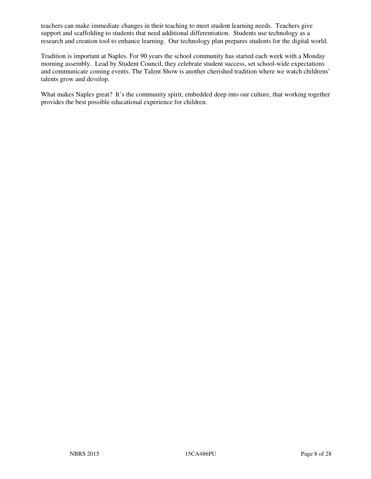teachers can make immediate changes in their teaching to meet student learning needs. Teachers give support and scaffolding to students that need additional differentiation. Students use technology as a research and creation tool to enhance learning. Our technology plan prepares students for the digital world.

Tradition is important at Naples. For 90 years the school community has started each week with a Monday morning assembly. Lead by Student Council, they celebrate student success, set school-wide expectations and communicate coming events. The Talent Show is another cherished tradition where we watch childrens' talents grow and develop.

What makes Naples great? It's the community spirit, embedded deep into our culture, that working together provides the best possible educational experience for children.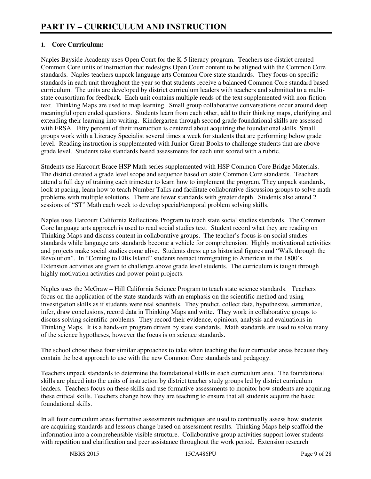## **1. Core Curriculum:**

Naples Bayside Academy uses Open Court for the K-5 literacy program. Teachers use district created Common Core units of instruction that redesigns Open Court content to be aligned with the Common Core standards. Naples teachers unpack language arts Common Core state standards. They focus on specific standards in each unit throughout the year so that students receive a balanced Common Core standard based curriculum. The units are developed by district curriculum leaders with teachers and submitted to a multistate consortium for feedback. Each unit contains multiple reads of the text supplemented with non-fiction text. Thinking Maps are used to map learning. Small group collaborative conversations occur around deep meaningful open ended questions. Students learn from each other, add to their thinking maps, clarifying and extending their learning into writing. Kindergarten through second grade foundational skills are assessed with FRSA. Fifty percent of their instruction is centered about acquiring the foundational skills. Small groups work with a Literacy Specialist several times a week for students that are performing below grade level. Reading instruction is supplemented with Junior Great Books to challenge students that are above grade level. Students take standards based assessments for each unit scored with a rubric.

Students use Harcourt Brace HSP Math series supplemented with HSP Common Core Bridge Materials. The district created a grade level scope and sequence based on state Common Core standards. Teachers attend a full day of training each trimester to learn how to implement the program. They unpack standards, look at pacing, learn how to teach Number Talks and facilitate collaborative discussion groups to solve math problems with multiple solutions. There are fewer standards with greater depth. Students also attend 2 sessions of "ST" Math each week to develop special/temporal problem solving skills.

Naples uses Harcourt California Reflections Program to teach state social studies standards. The Common Core language arts approach is used to read social studies text. Student record what they are reading on Thinking Maps and discuss content in collaborative groups. The teacher's focus is on social studies standards while language arts standards become a vehicle for comprehension. Highly motivational activities and projects make social studies come alive. Students dress up as historical figures and "Walk through the Revolution". In "Coming to Ellis Island" students reenact immigrating to American in the 1800's. Extension activities are given to challenge above grade level students. The curriculum is taught through highly motivation activities and power point projects.

Naples uses the McGraw – Hill California Science Program to teach state science standards. Teachers focus on the application of the state standards with an emphasis on the scientific method and using investigation skills as if students were real scientists. They predict, collect data, hypothesize, summarize, infer, draw conclusions, record data in Thinking Maps and write. They work in collaborative groups to discuss solving scientific problems. They record their evidence, opinions, analysis and evaluations in Thinking Maps. It is a hands-on program driven by state standards. Math standards are used to solve many of the science hypotheses, however the focus is on science standards.

The school chose these four similar approaches to take when teaching the four curricular areas because they contain the best approach to use with the new Common Core standards and pedagogy.

Teachers unpack standards to determine the foundational skills in each curriculum area. The foundational skills are placed into the units of instruction by district teacher study groups led by district curriculum leaders. Teachers focus on these skills and use formative assessments to monitor how students are acquiring these critical skills. Teachers change how they are teaching to ensure that all students acquire the basic foundational skills.

In all four curriculum areas formative assessments techniques are used to continually assess how students are acquiring standards and lessons change based on assessment results. Thinking Maps help scaffold the information into a comprehensible visible structure. Collaborative group activities support lower students with repetition and clarification and peer assistance throughout the work period. Extension research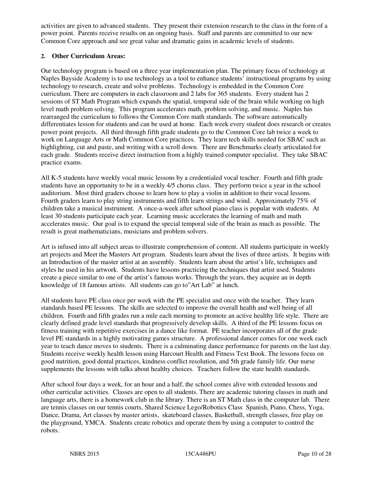activities are given to advanced students. They present their extension research to the class in the form of a power point. Parents receive results on an ongoing basis. Staff and parents are committed to our new Common Core approach and see great value and dramatic gains in academic levels of students.

#### **2. Other Curriculum Areas:**

Our technology program is based on a three year implementation plan. The primary focus of technology at Naples Bayside Academy is to use technology as a tool to enhance students' instructional programs by using technology to research, create and solve problems. Technology is embedded in the Common Core curriculum. There are computers in each classroom and 2 labs for 365 students. Every student has 2 sessions of ST Math Program which expands the spatial, temporal side of the brain while working on high level math problem solving. This program accelerates math, problem solving, and music. Naples has rearranged the curriculum to follows the Common Core math standards. The software automatically differentiates lesson for students and can be used at home. Each week every student does research or creates power point projects. All third through fifth grade students go to the Common Core lab twice a week to work on Language Arts or Math Common Core practices. They learn tech skills needed for SBAC such as highlighting, cut and paste, and writing with a scroll down. There are Benchmarks clearly articulated for each grade. Students receive direct instruction from a highly trained computer specialist. They take SBAC practice exams.

All K-5 students have weekly vocal music lessons by a credentialed vocal teacher. Fourth and fifth grade students have an opportunity to be in a weekly 4/5 chorus class. They perform twice a year in the school auditorium. Most third graders choose to learn how to play a violin in addition to their vocal lessons. Fourth graders learn to play string instruments and fifth learn strings and wind. Approximately 75% of children take a musical instrument. A once-a-week after school piano class is popular with students. At least 30 students participate each year. Learning music accelerates the learning of math and math accelerates music. Our goal is to expand the special temporal side of the brain as much as possible. The result is great mathematicians, musicians and problem solvers.

Art is infused into all subject areas to illustrate comprehension of content. All students participate in weekly art projects and Meet the Masters Art program. Students learn about the lives of three artists. It begins with an Introduction of the master artist at an assembly. Students learn about the artist's life, techniques and styles he used in his artwork. Students have lessons practicing the techniques that artist used. Students create a piece similar to one of the artist's famous works. Through the years, they acquire an in depth knowledge of 18 famous artists. All students can go to"Art Lab" at lunch.

All students have PE class once per week with the PE specialist and once with the teacher. They learn standards based PE lessons. The skills are selected to improve the overall health and well being of all children. Fourth and fifth grades run a mile each morning to promote an active healthy life style. There are clearly defined grade level standards that progressively develop skills. A third of the PE lessons focus on fitness training with repetitive exercises in a dance like format. PE teacher incorporates all of the grade level PE standards in a highly motivating games structure. A professional dancer comes for one week each year to teach dance moves to students. There is a culminating dance performance for parents on the last day. Students receive weekly health lesson using Harcourt Health and Fitness Text Book. The lessons focus on good nutrition, good dental practices, kindness conflict resolution, and 5th grade family life. Our nurse supplements the lessons with talks about healthy choices. Teachers follow the state health standards.

After school four days a week, for an hour and a half, the school comes alive with extended lessons and other curricular activities. Classes are open to all students. There are academic tutoring classes in math and language arts, there is a homework club in the library. There is an ST Math class in the computer lab. There are tennis classes on our tennis courts, Shared Science Lego/Robotics Class Spanish, Piano, Chess, Yoga, Dance, Drama, Art classes by master artists, skateboard classes, Basketball, strength classes, free play on the playground, YMCA. Students create robotics and operate them by using a computer to control the robots.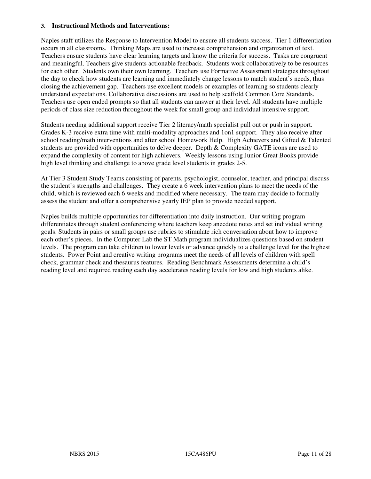#### **3. Instructional Methods and Interventions:**

Naples staff utilizes the Response to Intervention Model to ensure all students success. Tier 1 differentiation occurs in all classrooms. Thinking Maps are used to increase comprehension and organization of text. Teachers ensure students have clear learning targets and know the criteria for success. Tasks are congruent and meaningful. Teachers give students actionable feedback. Students work collaboratively to be resources for each other. Students own their own learning. Teachers use Formative Assessment strategies throughout the day to check how students are learning and immediately change lessons to match student's needs, thus closing the achievement gap. Teachers use excellent models or examples of learning so students clearly understand expectations. Collaborative discussions are used to help scaffold Common Core Standards. Teachers use open ended prompts so that all students can answer at their level. All students have multiple periods of class size reduction throughout the week for small group and individual intensive support.

Students needing additional support receive Tier 2 literacy/math specialist pull out or push in support. Grades K-3 receive extra time with multi-modality approaches and 1on1 support. They also receive after school reading/math interventions and after school Homework Help. High Achievers and Gifted & Talented students are provided with opportunities to delve deeper. Depth & Complexity GATE icons are used to expand the complexity of content for high achievers. Weekly lessons using Junior Great Books provide high level thinking and challenge to above grade level students in grades 2-5.

At Tier 3 Student Study Teams consisting of parents, psychologist, counselor, teacher, and principal discuss the student's strengths and challenges. They create a 6 week intervention plans to meet the needs of the child, which is reviewed each 6 weeks and modified where necessary. The team may decide to formally assess the student and offer a comprehensive yearly IEP plan to provide needed support.

Naples builds multiple opportunities for differentiation into daily instruction. Our writing program differentiates through student conferencing where teachers keep anecdote notes and set individual writing goals. Students in pairs or small groups use rubrics to stimulate rich conversation about how to improve each other's pieces. In the Computer Lab the ST Math program individualizes questions based on student levels. The program can take children to lower levels or advance quickly to a challenge level for the highest students. Power Point and creative writing programs meet the needs of all levels of children with spell check, grammar check and thesaurus features. Reading Benchmark Assessments determine a child's reading level and required reading each day accelerates reading levels for low and high students alike.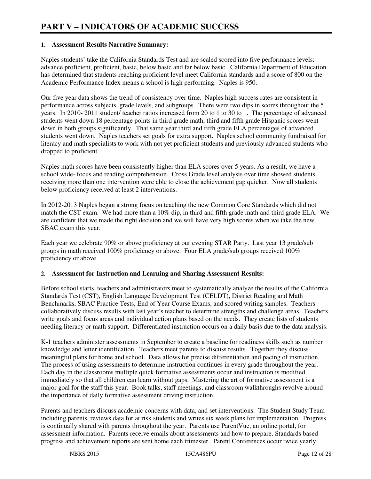#### **1. Assessment Results Narrative Summary:**

Naples students' take the California Standards Test and are scaled scored into five performance levels: advance proficient, proficient, basic, below basic and far below basic. California Department of Education has determined that students reaching proficient level meet California standards and a score of 800 on the Academic Performance Index means a school is high performing. Naples is 950.

Our five year data shows the trend of consistency over time. Naples high success rates are consistent in performance across subjects, grade levels, and subgroups. There were two dips in scores throughout the 5 years. In 2010- 2011 student/ teacher ratios increased from 20 to 1 to 30 to 1. The percentage of advanced students went down 18 percentage points in third grade math, third and fifth grade Hispanic scores went down in both groups significantly. That same year third and fifth grade ELA percentages of advanced students went down. Naples teachers set goals for extra support. Naples school community fundraised for literacy and math specialists to work with not yet proficient students and previously advanced students who dropped to proficient.

Naples math scores have been consistently higher than ELA scores over 5 years. As a result, we have a school wide- focus and reading comprehension. Cross Grade level analysis over time showed students receiving more than one intervention were able to close the achievement gap quicker. Now all students below proficiency received at least 2 interventions.

In 2012-2013 Naples began a strong focus on teaching the new Common Core Standards which did not match the CST exam. We had more than a 10% dip, in third and fifth grade math and third grade ELA. We are confident that we made the right decision and we will have very high scores when we take the new SBAC exam this year.

Each year we celebrate 90% or above proficiency at our evening STAR Party. Last year 13 grade/sub groups in math received 100% proficiency or above. Four ELA grade/sub groups received 100% proficiency or above.

#### **2. Assessment for Instruction and Learning and Sharing Assessment Results:**

Before school starts, teachers and administrators meet to systematically analyze the results of the California Standards Test (CST), English Language Development Test (CELDT), District Reading and Math Benchmarks, SBAC Practice Tests, End of Year Course Exams, and scored writing samples. Teachers collaboratively discuss results with last year's teacher to determine strengths and challenge areas. Teachers write goals and focus areas and individual action plans based on the needs. They create lists of students needing literacy or math support. Differentiated instruction occurs on a daily basis due to the data analysis.

K-1 teachers administer assessments in September to create a baseline for readiness skills such as number knowledge and letter identification. Teachers meet parents to discuss results. Together they discuss meaningful plans for home and school. Data allows for precise differentiation and pacing of instruction. The process of using assessments to determine instruction continues in every grade throughout the year. Each day in the classrooms multiple quick formative assessments occur and instruction is modified immediately so that all children can learn without gaps. Mastering the art of formative assessment is a major goal for the staff this year. Book talks, staff meetings, and classroom walkthroughs revolve around the importance of daily formative assessment driving instruction.

Parents and teachers discuss academic concerns with data, and set interventions. The Student Study Team including parents, reviews data for at risk students and writes six week plans for implementation. Progress is continually shared with parents throughout the year. Parents use ParentVue, an online portal, for assessment information. Parents receive emails about assessments and how to prepare. Standards based progress and achievement reports are sent home each trimester. Parent Conferences occur twice yearly.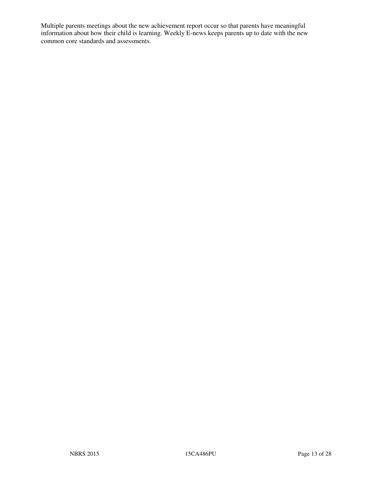Multiple parents meetings about the new achievement report occur so that parents have meaningful information about how their child is learning. Weekly E-news keeps parents up to date with the new common core standards and assessments.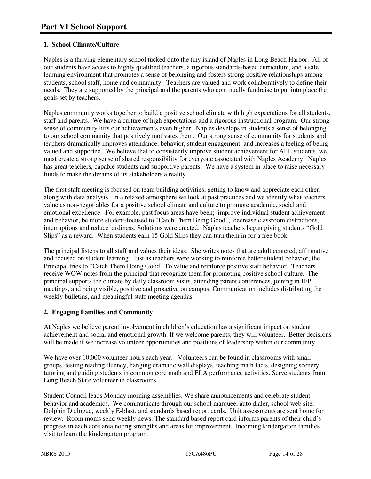## **1. School Climate/Culture**

Naples is a thriving elementary school tucked onto the tiny island of Naples in Long Beach Harbor. All of our students have access to highly qualified teachers, a rigorous standards-based curriculum, and a safe learning environment that promotes a sense of belonging and fosters strong positive relationships among students, school staff, home and community. Teachers are valued and work collaboratively to define their needs. They are supported by the principal and the parents who continually fundraise to put into place the goals set by teachers.

Naples community works together to build a positive school climate with high expectations for all students, staff and parents. We have a culture of high expectations and a rigorous instructional program. Our strong sense of community lifts our achievements even higher. Naples develops in students a sense of belonging to our school community that positively motivates them. Our strong sense of community for students and teachers dramatically improves attendance, behavior, student engagement, and increases a feeling of being valued and supported. We believe that to consistently improve student achievement for ALL students, we must create a strong sense of shared responsibility for everyone associated with Naples Academy. Naples has great teachers, capable students and supportive parents. We have a system in place to raise necessary funds to make the dreams of its stakeholders a reality.

The first staff meeting is focused on team building activities, getting to know and appreciate each other, along with data analysis. In a relaxed atmosphere we look at past practices and we identify what teachers value as non-negotiables for a positive school climate and culture to promote academic, social and emotional excellence. For example, past focus areas have been; improve individual student achievement and behavior, be more student-focused to "Catch Them Being Good", decrease classroom distractions, interruptions and reduce tardiness. Solutions were created. Naples teachers began giving students "Gold Slips" as a reward. When students earn 15 Gold Slips they can turn them in for a free book.

The principal listens to all staff and values their ideas. She writes notes that are adult centered, affirmative and focused on student learning. Just as teachers were working to reinforce better student behavior, the Principal tries to "Catch Them Doing Good" To value and reinforce positive staff behavior. Teachers receive WOW notes from the principal that recognize them for promoting positive school culture. The principal supports the climate by daily classroom visits, attending parent conferences, joining in IEP meetings, and being visible, positive and proactive on campus. Communication includes distributing the weekly bulletins, and meaningful staff meeting agendas.

## **2. Engaging Families and Community**

At Naples we believe parent involvement in children's education has a significant impact on student achievement and social and emotional growth. If we welcome parents, they will volunteer. Better decisions will be made if we increase volunteer opportunities and positions of leadership within our community.

We have over 10,000 volunteer hours each year. Volunteers can be found in classrooms with small groups, testing reading fluency, hanging dramatic wall displays, teaching math facts, designing scenery, tutoring and guiding students in common core math and ELA performance activities. Serve students from Long Beach State volunteer in classrooms

Student Council leads Monday morning assemblies. We share announcements and celebrate student behavior and academics. We communicate through our school marquee, auto dialer, school web site, Dolphin Dialogue, weekly E-blast, and standards based report cards. Unit assessments are sent home for review. Room moms send weekly news. The standard based report card informs parents of their child's progress in each core area noting strengths and areas for improvement. Incoming kindergarten families visit to learn the kindergarten program.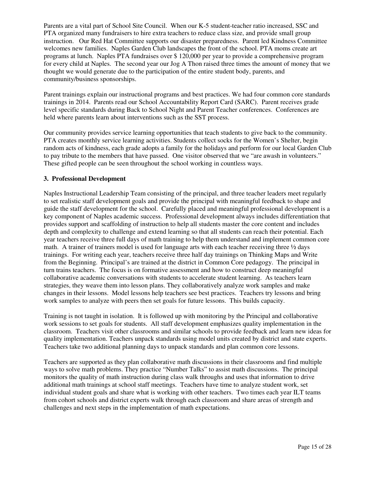Parents are a vital part of School Site Council. When our K-5 student-teacher ratio increased, SSC and PTA organized many fundraisers to hire extra teachers to reduce class size, and provide small group instruction. Our Red Hat Committee supports our disaster preparedness. Parent led Kindness Committee welcomes new families. Naples Garden Club landscapes the front of the school. PTA moms create art programs at lunch. Naples PTA fundraises over \$ 120,000 per year to provide a comprehensive program for every child at Naples. The second year our Jog A Thon raised three times the amount of money that we thought we would generate due to the participation of the entire student body, parents, and community/business sponsorships.

Parent trainings explain our instructional programs and best practices. We had four common core standards trainings in 2014. Parents read our School Accountability Report Card (SARC). Parent receives grade level specific standards during Back to School Night and Parent Teacher conferences. Conferences are held where parents learn about interventions such as the SST process.

Our community provides service learning opportunities that teach students to give back to the community. PTA creates monthly service learning activities. Students collect socks for the Women's Shelter, begin random acts of kindness, each grade adopts a family for the holidays and perform for our local Garden Club to pay tribute to the members that have passed. One visitor observed that we "are awash in volunteers." These gifted people can be seen throughout the school working in countless ways.

#### **3. Professional Development**

Naples Instructional Leadership Team consisting of the principal, and three teacher leaders meet regularly to set realistic staff development goals and provide the principal with meaningful feedback to shape and guide the staff development for the school. Carefully placed and meaningful professional development is a key component of Naples academic success. Professional development always includes differentiation that provides support and scaffolding of instruction to help all students master the core content and includes depth and complexity to challenge and extend learning so that all students can reach their potential. Each year teachers receive three full days of math training to help them understand and implement common core math. A trainer of trainers model is used for language arts with each teacher receiving three  $\frac{1}{2}$  days trainings. For writing each year, teachers receive three half day trainings on Thinking Maps and Write from the Beginning. Principal's are trained at the district in Common Core pedagogy. The principal in turn trains teachers. The focus is on formative assessment and how to construct deep meaningful collaborative academic conversations with students to accelerate student learning. As teachers learn strategies, they weave them into lesson plans. They collaboratively analyze work samples and make changes in their lessons. Model lessons help teachers see best practices. Teachers try lessons and bring work samples to analyze with peers then set goals for future lessons. This builds capacity.

Training is not taught in isolation. It is followed up with monitoring by the Principal and collaborative work sessions to set goals for students. All staff development emphasizes quality implementation in the classroom. Teachers visit other classrooms and similar schools to provide feedback and learn new ideas for quality implementation. Teachers unpack standards using model units created by district and state experts. Teachers take two additional planning days to unpack standards and plan common core lessons.

Teachers are supported as they plan collaborative math discussions in their classrooms and find multiple ways to solve math problems. They practice "Number Talks" to assist math discussions. The principal monitors the quality of math instruction during class walk throughs and uses that information to drive additional math trainings at school staff meetings. Teachers have time to analyze student work, set individual student goals and share what is working with other teachers. Two times each year ILT teams from cohort schools and district experts walk through each classroom and share areas of strength and challenges and next steps in the implementation of math expectations.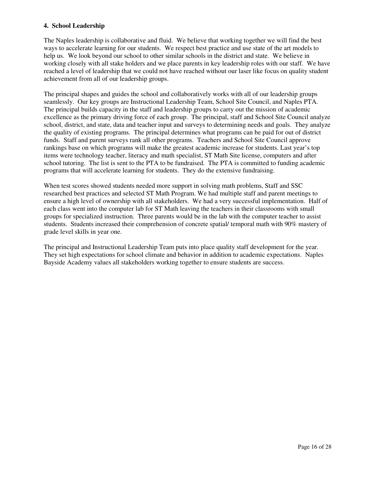#### **4. School Leadership**

The Naples leadership is collaborative and fluid. We believe that working together we will find the best ways to accelerate learning for our students. We respect best practice and use state of the art models to help us. We look beyond our school to other similar schools in the district and state. We believe in working closely with all stake holders and we place parents in key leadership roles with our staff. We have reached a level of leadership that we could not have reached without our laser like focus on quality student achievement from all of our leadership groups.

The principal shapes and guides the school and collaboratively works with all of our leadership groups seamlessly. Our key groups are Instructional Leadership Team, School Site Council, and Naples PTA. The principal builds capacity in the staff and leadership groups to carry out the mission of academic excellence as the primary driving force of each group. The principal, staff and School Site Council analyze school, district, and state, data and teacher input and surveys to determining needs and goals. They analyze the quality of existing programs. The principal determines what programs can be paid for out of district funds. Staff and parent surveys rank all other programs. Teachers and School Site Council approve rankings base on which programs will make the greatest academic increase for students. Last year's top items were technology teacher, literacy and math specialist, ST Math Site license, computers and after school tutoring. The list is sent to the PTA to be fundraised. The PTA is committed to funding academic programs that will accelerate learning for students. They do the extensive fundraising.

When test scores showed students needed more support in solving math problems, Staff and SSC researched best practices and selected ST Math Program. We had multiple staff and parent meetings to ensure a high level of ownership with all stakeholders. We had a very successful implementation. Half of each class went into the computer lab for ST Math leaving the teachers in their classrooms with small groups for specialized instruction. Three parents would be in the lab with the computer teacher to assist students. Students increased their comprehension of concrete spatial/ temporal math with 90% mastery of grade level skills in year one.

The principal and Instructional Leadership Team puts into place quality staff development for the year. They set high expectations for school climate and behavior in addition to academic expectations. Naples Bayside Academy values all stakeholders working together to ensure students are success.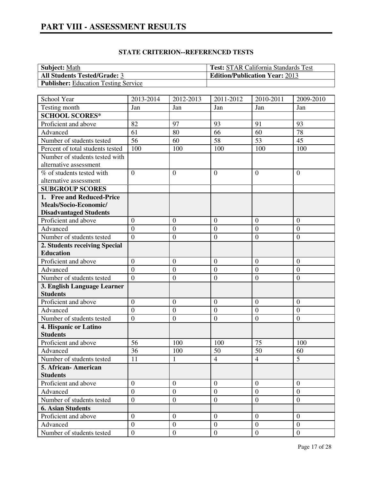| <b>Subject:</b> Math                        | <b>Test: STAR California Standards Test</b> |
|---------------------------------------------|---------------------------------------------|
| <b>All Students Tested/Grade: 3</b>         | <b>Edition/Publication Year: 2013</b>       |
| <b>Publisher:</b> Education Testing Service |                                             |

| School Year                      | 2013-2014        | 2012-2013        | 2011-2012        | 2010-2011        | 2009-2010        |
|----------------------------------|------------------|------------------|------------------|------------------|------------------|
| Testing month                    | Jan              | Jan              | Jan              | Jan              | Jan              |
| <b>SCHOOL SCORES*</b>            |                  |                  |                  |                  |                  |
| Proficient and above             | 82               | 97               | 93               | 91               | 93               |
| Advanced                         | 61               | 80               | 66               | 60               | 78               |
| Number of students tested        | $\overline{56}$  | 60               | 58               | 53               | 45               |
| Percent of total students tested | 100              | 100              | 100              | 100              | 100              |
| Number of students tested with   |                  |                  |                  |                  |                  |
| alternative assessment           |                  |                  |                  |                  |                  |
| % of students tested with        | $\overline{0}$   | $\overline{0}$   | $\overline{0}$   | $\theta$         | $\overline{0}$   |
| alternative assessment           |                  |                  |                  |                  |                  |
| <b>SUBGROUP SCORES</b>           |                  |                  |                  |                  |                  |
| 1. Free and Reduced-Price        |                  |                  |                  |                  |                  |
| Meals/Socio-Economic/            |                  |                  |                  |                  |                  |
| <b>Disadvantaged Students</b>    |                  |                  |                  |                  |                  |
| Proficient and above             | $\overline{0}$   | $\boldsymbol{0}$ | $\overline{0}$   | $\overline{0}$   | $\overline{0}$   |
| Advanced                         | $\overline{0}$   | $\boldsymbol{0}$ | $\boldsymbol{0}$ | $\overline{0}$   | $\boldsymbol{0}$ |
| Number of students tested        | $\theta$         | $\boldsymbol{0}$ | $\overline{0}$   | $\theta$         | $\overline{0}$   |
| 2. Students receiving Special    |                  |                  |                  |                  |                  |
| <b>Education</b>                 |                  |                  |                  |                  |                  |
| Proficient and above             | $\boldsymbol{0}$ | $\boldsymbol{0}$ | $\boldsymbol{0}$ | $\mathbf{0}$     | $\mathbf{0}$     |
| Advanced                         | $\boldsymbol{0}$ | $\boldsymbol{0}$ | $\mathbf{0}$     | $\boldsymbol{0}$ | $\overline{0}$   |
| Number of students tested        | $\overline{0}$   | $\mathbf{0}$     | $\overline{0}$   | $\overline{0}$   | $\mathbf{0}$     |
| 3. English Language Learner      |                  |                  |                  |                  |                  |
| <b>Students</b>                  |                  |                  |                  |                  |                  |
| Proficient and above             | $\overline{0}$   | $\boldsymbol{0}$ | $\boldsymbol{0}$ | $\boldsymbol{0}$ | $\boldsymbol{0}$ |
| Advanced                         | $\overline{0}$   | $\boldsymbol{0}$ | $\overline{0}$   | $\boldsymbol{0}$ | $\boldsymbol{0}$ |
| Number of students tested        | $\boldsymbol{0}$ | $\overline{0}$   | $\boldsymbol{0}$ | $\boldsymbol{0}$ | $\boldsymbol{0}$ |
| 4. Hispanic or Latino            |                  |                  |                  |                  |                  |
| <b>Students</b>                  |                  |                  |                  |                  |                  |
| Proficient and above             | 56               | 100              | 100              | 75               | 100              |
| Advanced                         | 36               | 100              | 50               | 50               | 60               |
| Number of students tested        | 11               | $\mathbf{1}$     | $\overline{4}$   | $\overline{4}$   | $\overline{5}$   |
| 5. African-American              |                  |                  |                  |                  |                  |
| <b>Students</b>                  |                  |                  |                  |                  |                  |
| Proficient and above             | $\theta$         | $\overline{0}$   | $\overline{0}$   | $\theta$         | $\overline{0}$   |
| Advanced                         | $\mathbf{0}$     | $\overline{0}$   | $\overline{0}$   | $\boldsymbol{0}$ | $\mathbf{0}$     |
| Number of students tested        | $\mathbf{0}$     | $\mathbf{0}$     | $\mathbf{0}$     | $\mathbf{0}$     | $\mathbf{0}$     |
| <b>6. Asian Students</b>         |                  |                  |                  |                  |                  |
| Proficient and above             | $\overline{0}$   | $\overline{0}$   | $\overline{0}$   | $\theta$         | $\overline{0}$   |
| Advanced                         | $\overline{0}$   | $\mathbf{0}$     | $\overline{0}$   | $\overline{0}$   | $\mathbf{0}$     |
| Number of students tested        | $\overline{0}$   | $\boldsymbol{0}$ | $\overline{0}$   | $\mathbf{0}$     | $\mathbf{0}$     |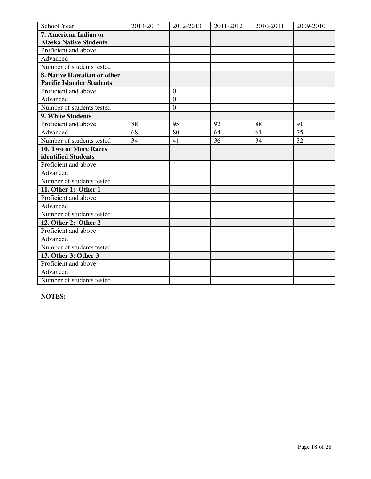| School Year                      | 2013-2014 | 2012-2013        | 2011-2012 | 2010-2011 | 2009-2010 |
|----------------------------------|-----------|------------------|-----------|-----------|-----------|
| 7. American Indian or            |           |                  |           |           |           |
| <b>Alaska Native Students</b>    |           |                  |           |           |           |
| Proficient and above             |           |                  |           |           |           |
| Advanced                         |           |                  |           |           |           |
| Number of students tested        |           |                  |           |           |           |
| 8. Native Hawaiian or other      |           |                  |           |           |           |
| <b>Pacific Islander Students</b> |           |                  |           |           |           |
| Proficient and above             |           | $\overline{0}$   |           |           |           |
| Advanced                         |           | $\overline{0}$   |           |           |           |
| Number of students tested        |           | $\boldsymbol{0}$ |           |           |           |
| 9. White Students                |           |                  |           |           |           |
| Proficient and above             | 88        | 95               | 92        | 88        | 91        |
| Advanced                         | 68        | 80               | 64        | 61        | 75        |
| Number of students tested        | 34        | 41               | 36        | 34        | 32        |
| 10. Two or More Races            |           |                  |           |           |           |
| identified Students              |           |                  |           |           |           |
| Proficient and above             |           |                  |           |           |           |
| Advanced                         |           |                  |           |           |           |
| Number of students tested        |           |                  |           |           |           |
| 11. Other 1: Other 1             |           |                  |           |           |           |
| Proficient and above             |           |                  |           |           |           |
| Advanced                         |           |                  |           |           |           |
| Number of students tested        |           |                  |           |           |           |
| 12. Other 2: Other 2             |           |                  |           |           |           |
| Proficient and above             |           |                  |           |           |           |
| Advanced                         |           |                  |           |           |           |
| Number of students tested        |           |                  |           |           |           |
| 13. Other 3: Other 3             |           |                  |           |           |           |
| Proficient and above             |           |                  |           |           |           |
| Advanced                         |           |                  |           |           |           |
| Number of students tested        |           |                  |           |           |           |

**NOTES:**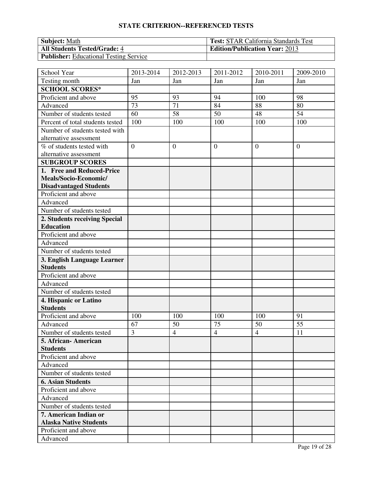| <b>Subject:</b> Math                          | <b>Test: STAR California Standards Test</b> |
|-----------------------------------------------|---------------------------------------------|
| <b>All Students Tested/Grade: 4</b>           | <b>Edition/Publication Year: 2013</b>       |
| <b>Publisher:</b> Educational Testing Service |                                             |

| School Year                      | 2013-2014      | 2012-2013      | 2011-2012      | 2010-2011      | 2009-2010      |
|----------------------------------|----------------|----------------|----------------|----------------|----------------|
| Testing month                    | Jan            | Jan            | Jan            | Jan            | Jan            |
| <b>SCHOOL SCORES*</b>            |                |                |                |                |                |
| Proficient and above             | 95             | 93             | 94             | 100            | 98             |
| Advanced                         | 73             | 71             | 84             | 88             | 80             |
| Number of students tested        | 60             | 58             | 50             | 48             | 54             |
| Percent of total students tested | 100            | 100            | 100            | 100            | 100            |
| Number of students tested with   |                |                |                |                |                |
| alternative assessment           |                |                |                |                |                |
| % of students tested with        | $\overline{0}$ | $\overline{0}$ | $\overline{0}$ | $\overline{0}$ | $\overline{0}$ |
| alternative assessment           |                |                |                |                |                |
| <b>SUBGROUP SCORES</b>           |                |                |                |                |                |
| 1. Free and Reduced-Price        |                |                |                |                |                |
| Meals/Socio-Economic/            |                |                |                |                |                |
| <b>Disadvantaged Students</b>    |                |                |                |                |                |
| Proficient and above             |                |                |                |                |                |
| Advanced                         |                |                |                |                |                |
| Number of students tested        |                |                |                |                |                |
| 2. Students receiving Special    |                |                |                |                |                |
| <b>Education</b>                 |                |                |                |                |                |
| Proficient and above             |                |                |                |                |                |
| Advanced                         |                |                |                |                |                |
| Number of students tested        |                |                |                |                |                |
| 3. English Language Learner      |                |                |                |                |                |
| <b>Students</b>                  |                |                |                |                |                |
| Proficient and above             |                |                |                |                |                |
| Advanced                         |                |                |                |                |                |
| Number of students tested        |                |                |                |                |                |
| 4. Hispanic or Latino            |                |                |                |                |                |
| <b>Students</b>                  |                |                |                |                |                |
| Proficient and above             | 100            | 100            | 100            | 100            | 91             |
| Advanced                         | 67             | 50             | 75             | 50             | 55             |
| Number of students tested        | 3              | $\overline{4}$ | $\overline{4}$ | $\overline{4}$ | 11             |
| 5. African-American              |                |                |                |                |                |
| <b>Students</b>                  |                |                |                |                |                |
| Proficient and above             |                |                |                |                |                |
| Advanced                         |                |                |                |                |                |
| Number of students tested        |                |                |                |                |                |
| <b>6. Asian Students</b>         |                |                |                |                |                |
| Proficient and above             |                |                |                |                |                |
| Advanced                         |                |                |                |                |                |
| Number of students tested        |                |                |                |                |                |
| 7. American Indian or            |                |                |                |                |                |
| <b>Alaska Native Students</b>    |                |                |                |                |                |
| Proficient and above             |                |                |                |                |                |
| Advanced                         |                |                |                |                |                |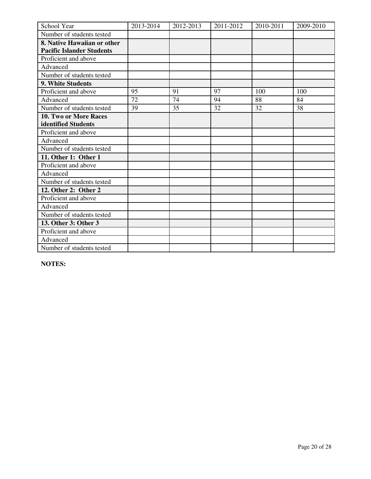| School Year                      | 2013-2014 | 2012-2013 | 2011-2012 | 2010-2011 | 2009-2010 |
|----------------------------------|-----------|-----------|-----------|-----------|-----------|
| Number of students tested        |           |           |           |           |           |
| 8. Native Hawaiian or other      |           |           |           |           |           |
| <b>Pacific Islander Students</b> |           |           |           |           |           |
| Proficient and above             |           |           |           |           |           |
| Advanced                         |           |           |           |           |           |
| Number of students tested        |           |           |           |           |           |
| 9. White Students                |           |           |           |           |           |
| Proficient and above             | 95        | 91        | 97        | 100       | 100       |
| Advanced                         | 72        | 74        | 94        | 88        | 84        |
| Number of students tested        | 39        | 35        | 32        | 32        | 38        |
| 10. Two or More Races            |           |           |           |           |           |
| identified Students              |           |           |           |           |           |
| Proficient and above             |           |           |           |           |           |
| Advanced                         |           |           |           |           |           |
| Number of students tested        |           |           |           |           |           |
| 11. Other 1: Other 1             |           |           |           |           |           |
| Proficient and above             |           |           |           |           |           |
| Advanced                         |           |           |           |           |           |
| Number of students tested        |           |           |           |           |           |
| 12. Other 2: Other 2             |           |           |           |           |           |
| Proficient and above             |           |           |           |           |           |
| Advanced                         |           |           |           |           |           |
| Number of students tested        |           |           |           |           |           |
| 13. Other 3: Other 3             |           |           |           |           |           |
| Proficient and above             |           |           |           |           |           |
| Advanced                         |           |           |           |           |           |
| Number of students tested        |           |           |           |           |           |

**NOTES:**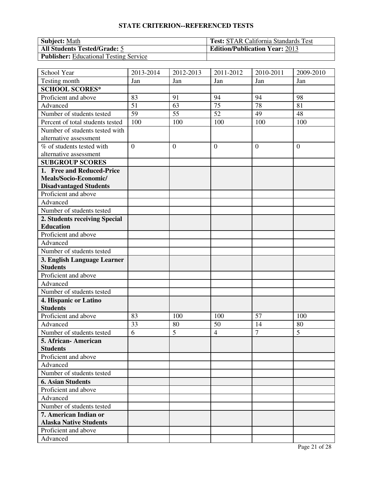| <b>Subject:</b> Math                          | <b>Test: STAR California Standards Test</b> |
|-----------------------------------------------|---------------------------------------------|
| <b>All Students Tested/Grade: 5</b>           | <b>Edition/Publication Year: 2013</b>       |
| <b>Publisher:</b> Educational Testing Service |                                             |

| School Year                      | 2013-2014      | 2012-2013      | 2011-2012       | 2010-2011      | 2009-2010      |
|----------------------------------|----------------|----------------|-----------------|----------------|----------------|
| Testing month                    | Jan            | Jan            | Jan             | Jan            | Jan            |
| <b>SCHOOL SCORES*</b>            |                |                |                 |                |                |
| Proficient and above             | 83             | 91             | 94              | 94             | 98             |
| Advanced                         | 51             | 63             | 75              | 78             | 81             |
| Number of students tested        | 59             | 55             | $\overline{52}$ | 49             | 48             |
| Percent of total students tested | 100            | 100            | 100             | 100            | 100            |
| Number of students tested with   |                |                |                 |                |                |
| alternative assessment           |                |                |                 |                |                |
| % of students tested with        | $\overline{0}$ | $\overline{0}$ | $\overline{0}$  | $\theta$       | $\overline{0}$ |
| alternative assessment           |                |                |                 |                |                |
| <b>SUBGROUP SCORES</b>           |                |                |                 |                |                |
| 1. Free and Reduced-Price        |                |                |                 |                |                |
| Meals/Socio-Economic/            |                |                |                 |                |                |
| <b>Disadvantaged Students</b>    |                |                |                 |                |                |
| Proficient and above             |                |                |                 |                |                |
| Advanced                         |                |                |                 |                |                |
| Number of students tested        |                |                |                 |                |                |
| 2. Students receiving Special    |                |                |                 |                |                |
| <b>Education</b>                 |                |                |                 |                |                |
| Proficient and above             |                |                |                 |                |                |
| Advanced                         |                |                |                 |                |                |
| Number of students tested        |                |                |                 |                |                |
| 3. English Language Learner      |                |                |                 |                |                |
| <b>Students</b>                  |                |                |                 |                |                |
| Proficient and above             |                |                |                 |                |                |
| Advanced                         |                |                |                 |                |                |
| Number of students tested        |                |                |                 |                |                |
| 4. Hispanic or Latino            |                |                |                 |                |                |
| <b>Students</b>                  |                |                |                 |                |                |
| Proficient and above             | 83             | 100            | 100             | 57             | 100            |
| Advanced                         | 33             | 80             | 50              | 14             | 80             |
| Number of students tested        | 6              | 5              | $\overline{4}$  | $\overline{7}$ | 5              |
| 5. African-American              |                |                |                 |                |                |
| <b>Students</b>                  |                |                |                 |                |                |
| Proficient and above             |                |                |                 |                |                |
| Advanced                         |                |                |                 |                |                |
| Number of students tested        |                |                |                 |                |                |
| <b>6. Asian Students</b>         |                |                |                 |                |                |
| Proficient and above             |                |                |                 |                |                |
| Advanced                         |                |                |                 |                |                |
| Number of students tested        |                |                |                 |                |                |
| 7. American Indian or            |                |                |                 |                |                |
| <b>Alaska Native Students</b>    |                |                |                 |                |                |
| Proficient and above             |                |                |                 |                |                |
| Advanced                         |                |                |                 |                |                |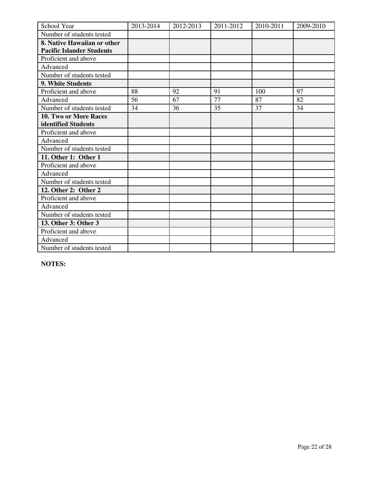| School Year                      | 2013-2014 | 2012-2013 | 2011-2012 | 2010-2011 | 2009-2010 |
|----------------------------------|-----------|-----------|-----------|-----------|-----------|
| Number of students tested        |           |           |           |           |           |
| 8. Native Hawaiian or other      |           |           |           |           |           |
| <b>Pacific Islander Students</b> |           |           |           |           |           |
| Proficient and above             |           |           |           |           |           |
| Advanced                         |           |           |           |           |           |
| Number of students tested        |           |           |           |           |           |
| 9. White Students                |           |           |           |           |           |
| Proficient and above             | 88        | 92        | 91        | 100       | 97        |
| Advanced                         | 56        | 67        | 77        | 87        | 82        |
| Number of students tested        | 34        | 36        | 35        | 37        | 34        |
| <b>10. Two or More Races</b>     |           |           |           |           |           |
| identified Students              |           |           |           |           |           |
| Proficient and above             |           |           |           |           |           |
| Advanced                         |           |           |           |           |           |
| Number of students tested        |           |           |           |           |           |
| 11. Other 1: Other 1             |           |           |           |           |           |
| Proficient and above             |           |           |           |           |           |
| Advanced                         |           |           |           |           |           |
| Number of students tested        |           |           |           |           |           |
| 12. Other 2: Other 2             |           |           |           |           |           |
| Proficient and above             |           |           |           |           |           |
| Advanced                         |           |           |           |           |           |
| Number of students tested        |           |           |           |           |           |
| 13. Other 3: Other 3             |           |           |           |           |           |
| Proficient and above             |           |           |           |           |           |
| Advanced                         |           |           |           |           |           |
| Number of students tested        |           |           |           |           |           |

**NOTES:**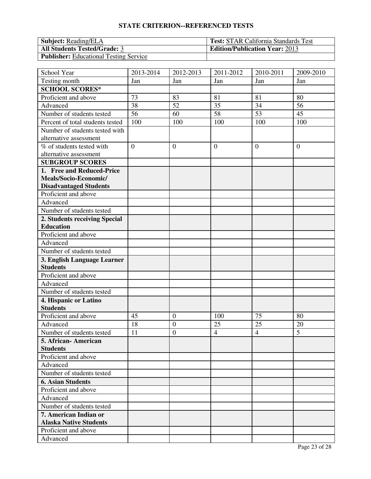| <b>Subject: Reading/ELA</b>                   | <b>Test:</b> STAR California Standards Test |
|-----------------------------------------------|---------------------------------------------|
| <b>All Students Tested/Grade: 3</b>           | <b>Edition/Publication Year: 2013</b>       |
| <b>Publisher:</b> Educational Testing Service |                                             |

| School Year                      | 2013-2014      | 2012-2013        | 2011-2012      | 2010-2011      | 2009-2010      |
|----------------------------------|----------------|------------------|----------------|----------------|----------------|
| Testing month                    | Jan            | Jan              | Jan            | Jan            | Jan            |
| <b>SCHOOL SCORES*</b>            |                |                  |                |                |                |
| Proficient and above             | 73             | 83               | 81             | 81             | 80             |
| Advanced                         | 38             | 52               | 35             | 34             | 56             |
| Number of students tested        | 56             | 60               | 58             | 53             | 45             |
| Percent of total students tested | 100            | 100              | 100            | 100            | 100            |
| Number of students tested with   |                |                  |                |                |                |
| alternative assessment           |                |                  |                |                |                |
| % of students tested with        | $\overline{0}$ | $\overline{0}$   | $\overline{0}$ | $\overline{0}$ | $\overline{0}$ |
| alternative assessment           |                |                  |                |                |                |
| <b>SUBGROUP SCORES</b>           |                |                  |                |                |                |
| 1. Free and Reduced-Price        |                |                  |                |                |                |
| Meals/Socio-Economic/            |                |                  |                |                |                |
| <b>Disadvantaged Students</b>    |                |                  |                |                |                |
| Proficient and above             |                |                  |                |                |                |
| Advanced                         |                |                  |                |                |                |
| Number of students tested        |                |                  |                |                |                |
| 2. Students receiving Special    |                |                  |                |                |                |
| <b>Education</b>                 |                |                  |                |                |                |
| Proficient and above             |                |                  |                |                |                |
| Advanced                         |                |                  |                |                |                |
| Number of students tested        |                |                  |                |                |                |
| 3. English Language Learner      |                |                  |                |                |                |
| <b>Students</b>                  |                |                  |                |                |                |
| Proficient and above             |                |                  |                |                |                |
| Advanced                         |                |                  |                |                |                |
| Number of students tested        |                |                  |                |                |                |
| 4. Hispanic or Latino            |                |                  |                |                |                |
| <b>Students</b>                  |                |                  |                |                |                |
| Proficient and above             | 45             | $\boldsymbol{0}$ | 100            | 75             | 80             |
| Advanced                         | 18             | $\overline{0}$   | 25             | 25             | 20             |
| Number of students tested        | 11             | $\mathbf{0}$     | $\overline{4}$ | $\overline{4}$ | 5              |
| 5. African- American             |                |                  |                |                |                |
| <b>Students</b>                  |                |                  |                |                |                |
| Proficient and above             |                |                  |                |                |                |
| Advanced                         |                |                  |                |                |                |
| Number of students tested        |                |                  |                |                |                |
| <b>6. Asian Students</b>         |                |                  |                |                |                |
| Proficient and above             |                |                  |                |                |                |
| Advanced                         |                |                  |                |                |                |
| Number of students tested        |                |                  |                |                |                |
| 7. American Indian or            |                |                  |                |                |                |
| <b>Alaska Native Students</b>    |                |                  |                |                |                |
| Proficient and above             |                |                  |                |                |                |
| Advanced                         |                |                  |                |                |                |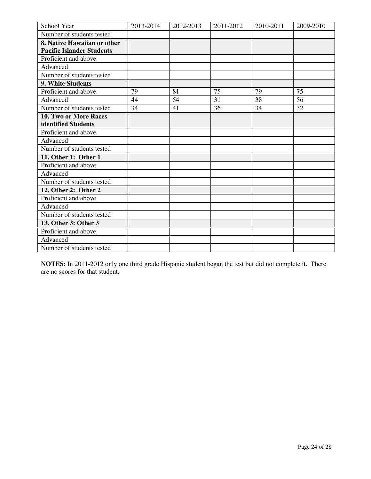| School Year                      | 2013-2014 | 2012-2013 | 2011-2012 | 2010-2011 | 2009-2010 |
|----------------------------------|-----------|-----------|-----------|-----------|-----------|
| Number of students tested        |           |           |           |           |           |
| 8. Native Hawaiian or other      |           |           |           |           |           |
| <b>Pacific Islander Students</b> |           |           |           |           |           |
| Proficient and above             |           |           |           |           |           |
| Advanced                         |           |           |           |           |           |
| Number of students tested        |           |           |           |           |           |
| 9. White Students                |           |           |           |           |           |
| Proficient and above             | 79        | 81        | 75        | 79        | 75        |
| Advanced                         | 44        | 54        | 31        | 38        | 56        |
| Number of students tested        | 34        | 41        | 36        | 34        | 32        |
| 10. Two or More Races            |           |           |           |           |           |
| identified Students              |           |           |           |           |           |
| Proficient and above             |           |           |           |           |           |
| Advanced                         |           |           |           |           |           |
| Number of students tested        |           |           |           |           |           |
| 11. Other 1: Other 1             |           |           |           |           |           |
| Proficient and above             |           |           |           |           |           |
| Advanced                         |           |           |           |           |           |
| Number of students tested        |           |           |           |           |           |
| 12. Other 2: Other 2             |           |           |           |           |           |
| Proficient and above             |           |           |           |           |           |
| Advanced                         |           |           |           |           |           |
| Number of students tested        |           |           |           |           |           |
| 13. Other 3: Other 3             |           |           |           |           |           |
| Proficient and above             |           |           |           |           |           |
| Advanced                         |           |           |           |           |           |
| Number of students tested        |           |           |           |           |           |

**NOTES:** In 2011-2012 only one third grade Hispanic student began the test but did not complete it. There are no scores for that student.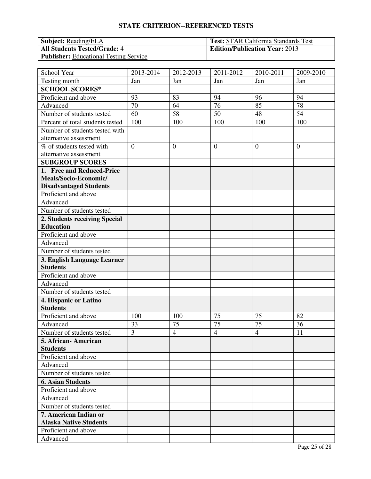| <b>Subject: Reading/ELA</b>                   | <b>Test:</b> STAR California Standards Test |
|-----------------------------------------------|---------------------------------------------|
| <b>All Students Tested/Grade: 4</b>           | <b>Edition/Publication Year: 2013</b>       |
| <b>Publisher:</b> Educational Testing Service |                                             |

| School Year                      | 2013-2014      | 2012-2013      | 2011-2012      | 2010-2011      | 2009-2010      |
|----------------------------------|----------------|----------------|----------------|----------------|----------------|
| Testing month                    | Jan            | Jan            | Jan            | Jan            | Jan            |
| <b>SCHOOL SCORES*</b>            |                |                |                |                |                |
| Proficient and above             | 93             | 83             | 94             | 96             | 94             |
| Advanced                         | 70             | 64             | 76             | 85             | 78             |
| Number of students tested        | 60             | 58             | 50             | 48             | 54             |
| Percent of total students tested | 100            | 100            | 100            | 100            | 100            |
| Number of students tested with   |                |                |                |                |                |
| alternative assessment           |                |                |                |                |                |
| % of students tested with        | $\overline{0}$ | $\overline{0}$ | $\overline{0}$ | $\theta$       | $\overline{0}$ |
| alternative assessment           |                |                |                |                |                |
| <b>SUBGROUP SCORES</b>           |                |                |                |                |                |
| 1. Free and Reduced-Price        |                |                |                |                |                |
| Meals/Socio-Economic/            |                |                |                |                |                |
| <b>Disadvantaged Students</b>    |                |                |                |                |                |
| Proficient and above             |                |                |                |                |                |
| Advanced                         |                |                |                |                |                |
| Number of students tested        |                |                |                |                |                |
| 2. Students receiving Special    |                |                |                |                |                |
| <b>Education</b>                 |                |                |                |                |                |
| Proficient and above             |                |                |                |                |                |
| Advanced                         |                |                |                |                |                |
| Number of students tested        |                |                |                |                |                |
| 3. English Language Learner      |                |                |                |                |                |
| <b>Students</b>                  |                |                |                |                |                |
| Proficient and above             |                |                |                |                |                |
| Advanced                         |                |                |                |                |                |
| Number of students tested        |                |                |                |                |                |
| 4. Hispanic or Latino            |                |                |                |                |                |
| <b>Students</b>                  |                |                |                |                |                |
| Proficient and above             | 100            | 100            | 75             | 75             | 82             |
| Advanced                         | 33             | 75             | 75             | 75             | 36             |
| Number of students tested        | $\overline{3}$ | $\overline{4}$ | $\overline{4}$ | $\overline{4}$ | 11             |
| 5. African-American              |                |                |                |                |                |
| <b>Students</b>                  |                |                |                |                |                |
| Proficient and above             |                |                |                |                |                |
| Advanced                         |                |                |                |                |                |
| Number of students tested        |                |                |                |                |                |
| <b>6. Asian Students</b>         |                |                |                |                |                |
| Proficient and above             |                |                |                |                |                |
| Advanced                         |                |                |                |                |                |
| Number of students tested        |                |                |                |                |                |
| 7. American Indian or            |                |                |                |                |                |
| <b>Alaska Native Students</b>    |                |                |                |                |                |
| Proficient and above             |                |                |                |                |                |
| Advanced                         |                |                |                |                |                |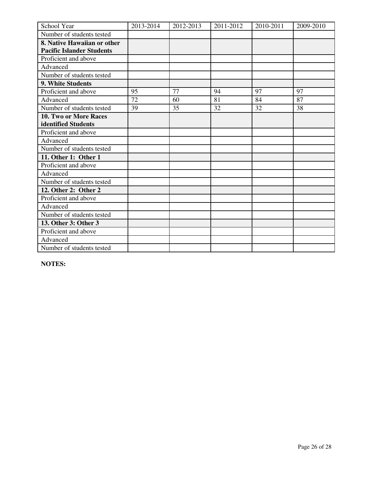| School Year                      | 2013-2014 | 2012-2013 | 2011-2012 | 2010-2011 | 2009-2010 |
|----------------------------------|-----------|-----------|-----------|-----------|-----------|
| Number of students tested        |           |           |           |           |           |
| 8. Native Hawaiian or other      |           |           |           |           |           |
| <b>Pacific Islander Students</b> |           |           |           |           |           |
| Proficient and above             |           |           |           |           |           |
| Advanced                         |           |           |           |           |           |
| Number of students tested        |           |           |           |           |           |
| 9. White Students                |           |           |           |           |           |
| Proficient and above             | 95        | 77        | 94        | 97        | 97        |
| Advanced                         | 72        | 60        | 81        | 84        | 87        |
| Number of students tested        | 39        | 35        | 32        | 32        | 38        |
| <b>10. Two or More Races</b>     |           |           |           |           |           |
| identified Students              |           |           |           |           |           |
| Proficient and above             |           |           |           |           |           |
| Advanced                         |           |           |           |           |           |
| Number of students tested        |           |           |           |           |           |
| 11. Other 1: Other 1             |           |           |           |           |           |
| Proficient and above             |           |           |           |           |           |
| Advanced                         |           |           |           |           |           |
| Number of students tested        |           |           |           |           |           |
| 12. Other 2: Other 2             |           |           |           |           |           |
| Proficient and above             |           |           |           |           |           |
| Advanced                         |           |           |           |           |           |
| Number of students tested        |           |           |           |           |           |
| 13. Other 3: Other 3             |           |           |           |           |           |
| Proficient and above             |           |           |           |           |           |
| Advanced                         |           |           |           |           |           |
| Number of students tested        |           |           |           |           |           |

**NOTES:**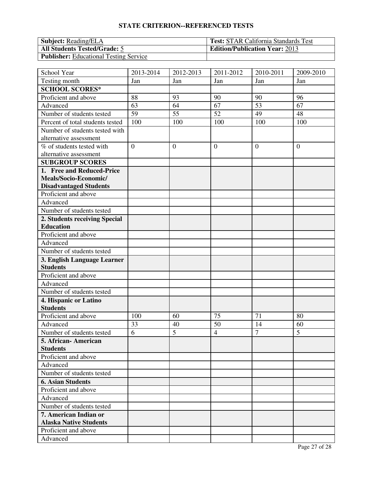| <b>Subject: Reading/ELA</b>                   | <b>Test:</b> STAR California Standards Test |
|-----------------------------------------------|---------------------------------------------|
| <b>All Students Tested/Grade: 5</b>           | <b>Edition/Publication Year: 2013</b>       |
| <b>Publisher:</b> Educational Testing Service |                                             |

| School Year                      | 2013-2014      | 2012-2013      | 2011-2012      | 2010-2011      | 2009-2010      |
|----------------------------------|----------------|----------------|----------------|----------------|----------------|
| Testing month                    | Jan            | Jan            | Jan            | Jan            | Jan            |
| <b>SCHOOL SCORES*</b>            |                |                |                |                |                |
| Proficient and above             | 88             | 93             | 90             | 90             | 96             |
| Advanced                         | 63             | 64             | 67             | 53             | 67             |
| Number of students tested        | 59             | 55             | 52             | 49             | 48             |
| Percent of total students tested | 100            | 100            | 100            | 100            | 100            |
| Number of students tested with   |                |                |                |                |                |
| alternative assessment           |                |                |                |                |                |
| % of students tested with        | $\overline{0}$ | $\overline{0}$ | $\overline{0}$ | $\theta$       | $\overline{0}$ |
| alternative assessment           |                |                |                |                |                |
| <b>SUBGROUP SCORES</b>           |                |                |                |                |                |
| 1. Free and Reduced-Price        |                |                |                |                |                |
| Meals/Socio-Economic/            |                |                |                |                |                |
| <b>Disadvantaged Students</b>    |                |                |                |                |                |
| Proficient and above             |                |                |                |                |                |
| Advanced                         |                |                |                |                |                |
| Number of students tested        |                |                |                |                |                |
| 2. Students receiving Special    |                |                |                |                |                |
| <b>Education</b>                 |                |                |                |                |                |
| Proficient and above             |                |                |                |                |                |
| Advanced                         |                |                |                |                |                |
| Number of students tested        |                |                |                |                |                |
| 3. English Language Learner      |                |                |                |                |                |
| <b>Students</b>                  |                |                |                |                |                |
| Proficient and above             |                |                |                |                |                |
| Advanced                         |                |                |                |                |                |
| Number of students tested        |                |                |                |                |                |
| 4. Hispanic or Latino            |                |                |                |                |                |
| <b>Students</b>                  |                |                |                |                |                |
| Proficient and above             | 100            | 60             | 75             | 71             | 80             |
| Advanced                         | 33             | 40             | 50             | 14             | 60             |
| Number of students tested        | 6              | 5              | $\overline{4}$ | $\overline{7}$ | 5              |
| 5. African-American              |                |                |                |                |                |
| <b>Students</b>                  |                |                |                |                |                |
| Proficient and above             |                |                |                |                |                |
| Advanced                         |                |                |                |                |                |
| Number of students tested        |                |                |                |                |                |
| <b>6. Asian Students</b>         |                |                |                |                |                |
| Proficient and above             |                |                |                |                |                |
| Advanced                         |                |                |                |                |                |
| Number of students tested        |                |                |                |                |                |
| 7. American Indian or            |                |                |                |                |                |
| <b>Alaska Native Students</b>    |                |                |                |                |                |
| Proficient and above             |                |                |                |                |                |
| Advanced                         |                |                |                |                |                |